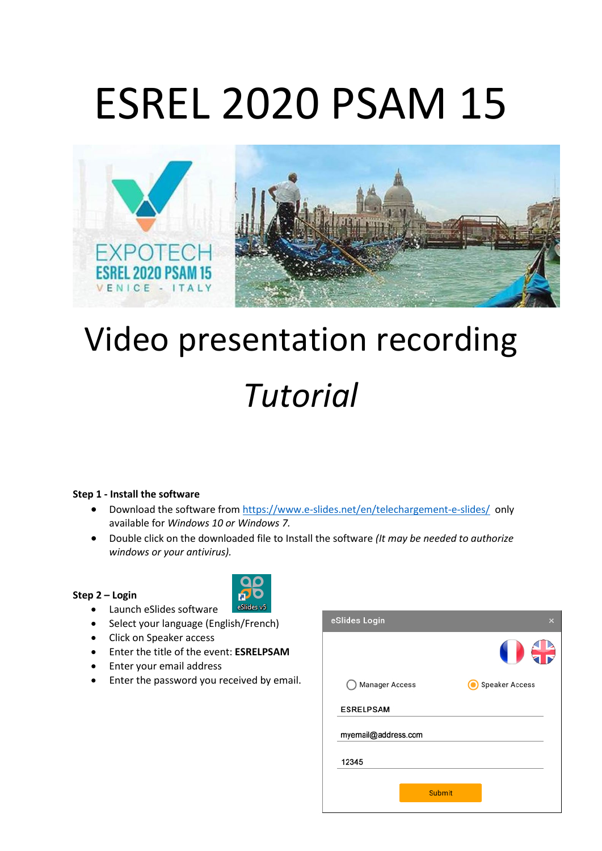# ESREL 2020 PSAM 15



## Video presentation recording *Tutorial*

### **Step 1 - Install the software**

- Download the software from<https://www.e-slides.net/en/telechargement-e-slides/> only available for *Windows 10 or Windows 7.*
- Double click on the downloaded file to Install the software *(It may be needed to authorize windows or your antivirus).*

#### **Step 2 – Login**



- Launch eSlides software
- Select your language (English/French)
- Click on Speaker access
- Enter the title of the event: **ESRELPSAM**
- Enter your email address
- Enter the password you received by email.

| eSlides Login         |               | ×                     |
|-----------------------|---------------|-----------------------|
|                       |               | 67                    |
| <b>Manager Access</b> |               | <b>Speaker Access</b> |
| <b>ESRELPSAM</b>      |               |                       |
| myemail@address.com   |               |                       |
| 12345                 |               |                       |
|                       | <b>Submit</b> |                       |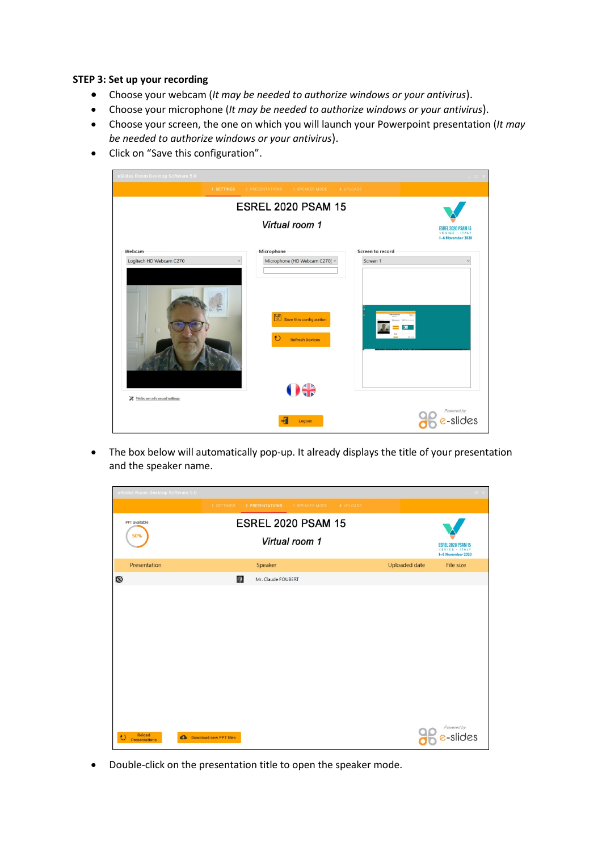#### **STEP 3: Set up your recording**

- Choose your webcam (*It may be needed to authorize windows or your antivirus*).
- Choose your microphone (*It may be needed to authorize windows or your antivirus*).
- Choose your screen, the one on which you will launch your Powerpoint presentation (*It may be needed to authorize windows or your antivirus*).
- Click on "Save this configuration".

| eSlides Room Desktop Software 5.0 |                                                                                                                                                                                                                                                                                                                                                                                                                                                                                                         | $= 5$                                                     |
|-----------------------------------|---------------------------------------------------------------------------------------------------------------------------------------------------------------------------------------------------------------------------------------------------------------------------------------------------------------------------------------------------------------------------------------------------------------------------------------------------------------------------------------------------------|-----------------------------------------------------------|
| 1. SETTINGS                       | 2. PRESENTATIONS<br>3. SPEAKER MODE<br>4. UPLOADS                                                                                                                                                                                                                                                                                                                                                                                                                                                       |                                                           |
|                                   | <b>ESREL 2020 PSAM 15</b>                                                                                                                                                                                                                                                                                                                                                                                                                                                                               |                                                           |
|                                   | Virtual room 1                                                                                                                                                                                                                                                                                                                                                                                                                                                                                          | ESREL 2020 PSAM 15<br>VENICE - ITALY<br>I-6 November 2020 |
| Webcam                            | Microphone                                                                                                                                                                                                                                                                                                                                                                                                                                                                                              | Screen to record                                          |
| Logitech HD Webcam C270           | Microphone (HD Webcam C270) ~                                                                                                                                                                                                                                                                                                                                                                                                                                                                           | Screen 1                                                  |
|                                   | $\begin{array}{ c c } \hline \hline \multicolumn{1}{ c }{\hline \multicolumn{1}{ c }{\hline \multicolumn{1}{ c }{\hline \multicolumn{1}{ c }{\hline \multicolumn{1}{ c }{\hline \multicolumn{1}{ c }{\hline \multicolumn{1}{ c }{\hline \multicolumn{1}{ c }{\hline \multicolumn{1}{ c }{\hline \multicolumn{1}{ c }{\hline \multicolumn{1}{ c }{\hline \multicolumn{1}{ c }{\hline \multicolumn{1}{ c }{\hline \multicolumn{1}{ c }{\hline \multicolumn{1}{$<br>$\mathbf{t}$<br><b>Refresh Devices</b> |                                                           |
| Webcam advanced settings          | 00                                                                                                                                                                                                                                                                                                                                                                                                                                                                                                      |                                                           |
|                                   | 拓<br>Logout                                                                                                                                                                                                                                                                                                                                                                                                                                                                                             | Powered by<br>s-slides                                    |

• The box below will automatically pop-up. It already displays the title of your presentation and the speaker name.



• Double-click on the presentation title to open the speaker mode.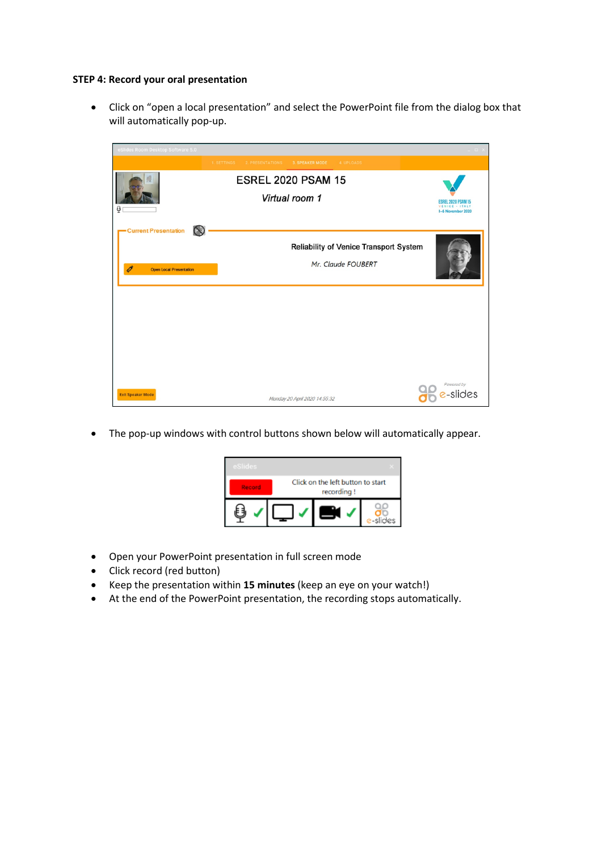#### **STEP 4: Record your oral presentation**

• Click on "open a local presentation" and select the PowerPoint file from the dialog box that will automatically pop-up.



• The pop-up windows with control buttons shown below will automatically appear.



- Open your PowerPoint presentation in full screen mode
- Click record (red button)
- Keep the presentation within **15 minutes** (keep an eye on your watch!)
- At the end of the PowerPoint presentation, the recording stops automatically.